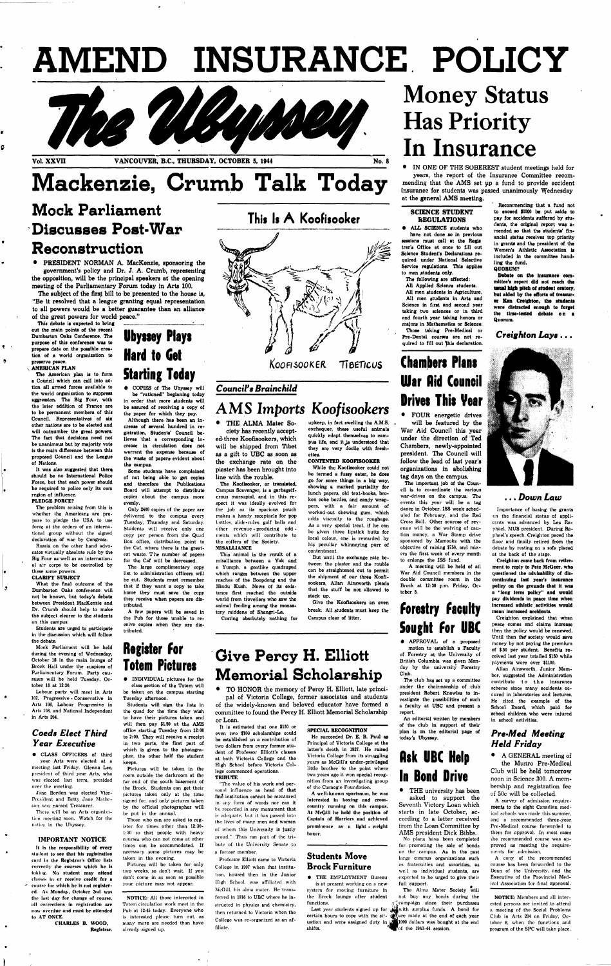# **AMEND INSURANCE POLICY**



## **Mackenzie. Crumb Talk Today**

### **Mock Parliament Discusses Post-War Reconstruction**

• PRESIDENT NORMAN A. MacKenzie, sponsoring the government's policy and Dr. J. A. Crumb, representing the opposition, will be the principal speakers at the opening meeting of the Parliamentary Forum today in Arts 100.

The subject of the firsf bill to be presented to the house is, "Be it resolved that a league granting equal representation to all powers would be a better guarantee than an alliance of the great powers for world peace."

This debate is expected to bring out the main points ot the recent Dumbarton Oaks Conference. The purpose of this conference **was** to prepare data on the possible creation of a world organization to preserve peace. **AMERICAN PLAN** 

 $\P$ 

The American plan is to form a Council which can call into action all armed forces available to the world organization to suppress aggression. The Big Four, with the later addition of France are to be permanent members of this Council. Representatives of six other nations are to be elected and will outnumber the great powers. Tho fact that decisions need not be unanimous but by majority vote is the main difference between this proposed Council and the League of Nations.

It was also suggested that there should be no International Police Force, but that each power should be required to police only its own region of influence. PLEDGE FORCE?

The problem arising from this is whether the Americans are prepare to pledge the USA to use force at the orders of an international group without the signed declaration of war by Congress.

Russia on the other hand advocates virtually absolute rule by the Big Four as well as an international air corps to be controlled by these same powers.

#### CLARIFY SUBJECT

What the final outcome of the Dumbarton Oaks conference will not be known, but today's debate between President MacKenzie and Dr. Crumb should help to make the subject clearer to the students on this campus.

Students are urged to participate in the discussion which will follow the debate.

Mock Parliament will be held during the evening of Wednesday, October 18 in the main lounge of Brock Hall under the auspices of Parliamentary Forum. Party caususes will be held Tuesday, October 10 at 12:30.

Labour party will meet in Arts 102, Progressive - Conservative in Arts 106, Labour Progressive in Arts 108, and National Independent in Arts 204.

#### *Coeds Elect Third Year Executive*

• CLASS OFFICERS of third year Arts were elected at a meeting last Friday. Glenna Lee, president of third year Arts, who was elected last term, presided over thc meeting.

Jane Borden was elected Vice-President and Betty Jane Matheson was named Treasurer.

There will be an Arts organization meeting soon. Watch for the notice in the Ubyssey.

#### IMPORTANT NOTICE

It Is the responsibility of every student to see that his registration card in the Registrar's Office lists correctly the courses which he Is taking. No student may attend classes in or receive credit for a course for which he is not registered. As Monday, October 2nd was the last day for change of course, all corrections In registration arc now overdue and must be attended to AT ONCE.

> CHARLES B. WOOD, Registrar.

### **Ubyssey Plays Hard to Get Starting Today**

• COPIES of The Ubyssey will be "rationed" beginning today in order that more students will be assured of receiving a copy of the paper for which they pay.

Although there has been an increase of several hundred in registration, Students' Council believes that a corresponding increase in circulation does not warrant the expense because of the waste of papers evident about the campus.

### **Give Percy H. Elliott Memorial Scholarship**

Some students have complained of not being able to get copies and therefore the Publications Board will attempt to distribute copies about the campus more evenly.

Only 2400 copies of the paper are delivered to the campus every Tuesday, Thursday and Saturday. Students will receive only one copy per person from the Quad Box office, distribution point to the Caf, where there is the greatest waste. The number of papers for the Caf will be decreased.

The large complimentary copy list to administration officers will be cut. Students must remember that if they want a copy to take home they must save the copy they receive when papers are distributed.

A few papers will be saved In the Pub for those unable to receive copies when they are distributed.

### **Register for Totem Pictures**

• INDIVIDUAL pictures for the class section of the Totem will be taken on the campus starting Tuesday afternoon.

> **• THE EMPLOYMENT Bureau** is at present working on a new system for moving furniture in the Brock lounge after student functions,

Students will sign the lists in the quad for the time they wish to have their pictures taken and will then pay \$1.50 at the AMS office starting Tuesday from 12:00 to 2:00. They will receive a receipt in two parts, the first part of which is given to the photographer, the other half the student keeps,

> Last year students signed up for  $\mathcal{L}$ uation and were assigned duty in shifts.

Pictures will be taken in the room outside the darkroom at the far end of the south basement of the Brock. Students can get their pictures taken only at the time signed for, and only pictures taken by the official photographer will be put in the annual.

All Applied Science students. All men students in Agriculture. All men students in Arts and Science in first and second year taking two sciences or in third and fourth year taking honors or majors in Mathematics or Science. Those taking Pre-Medlcal or Pre-Dental courses are not required to fill out this declaration.

Those who can are asked to register for times other than 12:30- 1:30 so that people with heavy courses who can not come at other times can be accommodated. If necessary some pictures may be taken in the evening.

Pictures will be taken for only two weeks, so don't wait. If you don't come in as soon as possible your picture may not appear.

NOTICE: All those interested in Totem circulation work meet in the Pub at 12:45 today. Everyone who is interested please turn out, as many more are needed than have already signed up.

### **This Is A Koofisooker**



*KoofisooKEfi* **Tieer/cus** 

#### *Council's Brainchild*

### *AMS Imports Koofisookers*

• THE ALMA Mater Society has recently accepted- three Koofisookers, which will be shipped from Tibet as a gift to UBC as soon as the exchange rate on the piaster has been brought into line with the rouble.

The Koofisooker, or translated, Campus Scavenger, is a garbageiferous marsupial, and in this respect it was ideally evolved for the job as its spacious pouch makes a handy receptacle for pop bottles, slide-rules, golf balls and other revenue - producing odd ments which will contribute to the coffers of the Society. MISALLIANCE

> certain hours to cope with the sit- **Particle** made at the end of each year The Alma Mater Society will not buy any bonds during the campaign since their purchases with surplus funds. A bond for llOOO dollars was bought at the end of the 1943-44 session.

This animal is the result of a misalliance between a Yak and a Yumph, a goatlike quadruped which ranges between the upper reaches of the Boopdong and the Hindu Kush. News of its existence first reached the outside world from travellers who saw the animal feeding among the monas-

tery middens of Shangri-La. Costing absolutely nothing for

upkeep, in fact swelling the A.M.S. exchequer, these useful animals quickly adapt themselves to campus life, and it is understood that they are very docile with freshettes.

#### CONTENTED KOOFISOOKER

While the Koofisooker could not be termed a fussy eater, he does go for some things in a big way, showing a marked partiality for lunch papers, old text-books, broken coke bottles, and candy wrap-

pers, with a fair amount of worked-out chewing gum, which adds viscosity to the roughage. As a very special treat, if he can be given three lipstick butts for local colour, one is rewarded by his peculiar whinneying purr of contentment.

But until the exchange rate between the piaster and the rouble can be straightened out to permit the shipment of our three Koofisookers, Allan Ainsworth pleads that the stuff be not allowed to stack up.

Give the Koofisookers an even break. All students must keep the Campus clear of litter.

• TO HONOR the memory of Percy H. Elliott, late principal of Victoria College, former associates and students of the widely-known and beloved educator have formed a committee to found the Percy H. Elliott Memorial Scholarship

or Loan.

It is estimated that one \$150 or even two \$100 scholarships could be established on a contribution of two dollars from every former student of Professor Elliott's classes at both Victoria College and the High School before Victoria College commenced operations, TRIBUTE

''The value of his work and personal influence as head of that fine institution cannot be measured in any form of words nor can it be recorded in any monument that is adequate; but it has passed into the lives of many men and women of whom this University is justly proud." Thus ran part of the tribute of the University Senate to a former member.

Professor Elliott came to Victoria College in 1907 when that institution, housed then in the Junior High School, was affiliated with McGill, his alma mater. He transferred in 1916 to UBC where he instructed in physics and chemistry, then returned to Victoria when the College was re-organized as an affiliate.

#### SPECIAL RECOGNITION He succeeded Dr. E. B, Paul as Principal of Victoria College at the latter's death in 1927. He raised

Victoria College from its struggling years as McGill's under-privileged

littlo brother to the point where two years ago it won special recognition from an investigating group of the Carnegie Foundation. A well-known sportsman, he was Interested In boxing and crosscountry running on this campus. At McGill he held the position of Captain of Harriers and achieved

prominence as a light - weight boxer.

#### **Students Move Brock Furniture**

## **Money Status Has Priority In Insurance**

• IN ONE OF THE SOBEREST student meetings held for years, the report of the Insurance Committee recommending that the AMS set up a fund to provide accident insurance for students was passed unanimously Wednesday at the general AMS meeting.

#### **SCIENCE STUDENT REGULATIONS**

• ALL SCIENCE students who have not done so in previous sessions must call at the Regis trar's Office at once' to fill out Science Student's Declarations required under National Selective Service regulations. This applies to men students only.

The following are affected:

### **Chambers Plans War Hid Council Drives This Vear**

• FOUR energetic drives will be featured by the War Aid Council this year under the direction of Ted Chambers, newly-appointed president. The Council will follow the lead of last year's organizations in abolishing tag days on the campus.

The important job of the Council is to co-ordinate the various war-drives on the campus. The events this year will be a tag

dance in October, ISS week scheduled for February, and the Red Cross Ball. Other sources of revenue will be the waiving of caution money, a War Stamp drive sponsored by Mamooks with the objective of raising \$750, and mixers the first week of every month to enlarge the ISS fund.

A meeting will be held of all War Aid Council members in the double committee room in the Brock at 12:30 p.m. Friday, October 5.

### **forestry faculty Sought for UBC**

• APPROVAL of a proposed motion to establish a Faculty of Forestry at the University of British Columbia was given Monday by the university Forestry Club.

The club has set up a committee under the chairmanship of club president Robert Knowles to investigate the possibilities of such a faculty at UBC and present a report.

An editorial written by members of the club in support of their plan is on the editorial page of today's Ubyssey.

### **flsk UBC Help In Bond Drive**

• THE university has been asked to support the Seventh Victory Loan which starts in late October, according to a letter received from the Loan Committee by

AMS president Dick Bibbs. No plans have been completed for promoting the sale of bonds on the campus. As in the past large campus' organizations such as fraternities and sororities, as well as individual students, are expected to be urged to give their full support.

Recommending that a fund not to exceed \$1000 be put aside to pay for accidents suffered by students, the original report **was** amended so that the students' financial status receives top priority in grants and the president of the Women's Athletic Association is included in the committee handling the fund. QUORUM?

**Debate** on **the** Insurance committee's report did not **reach the usual high pitch of student oratory, but aided by the efforts of treasur**er Ken Creighton, the students were distracted enough to **forget**  the time-tested debate **o n a**  Quorum.

*Creighton Lays* .. .



. . . *Down Law* 

Importance of basing the grants en the financial status of applicants was advanced by Les Raphael. MUS president. During Raphael's speech. Creighton paced the floor and finally retired from the debate by resting on a sofa placed at the back of the stage.

Creighton came back from retirement to reply to Pete McGeer, who questioned the advisability of discontinuing last year's insurance policy on the grounds that it **was**  a "long term policy" and would pay dividends in peace time when Increased athletic activities would mean Increased accidents.

Creighton explained that when peace comes and claims increase then the policy would be renewed. Until then the society would save money by not paying the premium of \$.50 per student. Benefits received last year totalled \$150 while payments were over \$1100.

Allan Ainsworth, Junior Member, suggested the Administration contribute to the insurance scheme since many accidents occured in laboratories and lectures. He cited the example of the School Board, which paid for school children who were injured in school activities.

#### *Pre-Med Meeting Held Friday*

• A GENERAL meeting of the Muriro Pre-Medical Club will be held tomorrow noon in Science 300. A membership and registration fee

of 50c will be collected. A survey of admission requirements to the eight Canadian medical schools was made this summer, and a recommended three-year Pre-Medical course forwarded to them for approval. In most cases the recommended course was approved as meeting the requirements for admission.

A copy of the recommended course has been forwarded to the Dean of the University, and the Executive of the Provincial Medical Association for final approval.

NOTICE: Members and all interested persons are invited to attend a meeting of the Social Problems Club in Arts 204 on Friday, October 6, when the functions and program of the SPC will take place.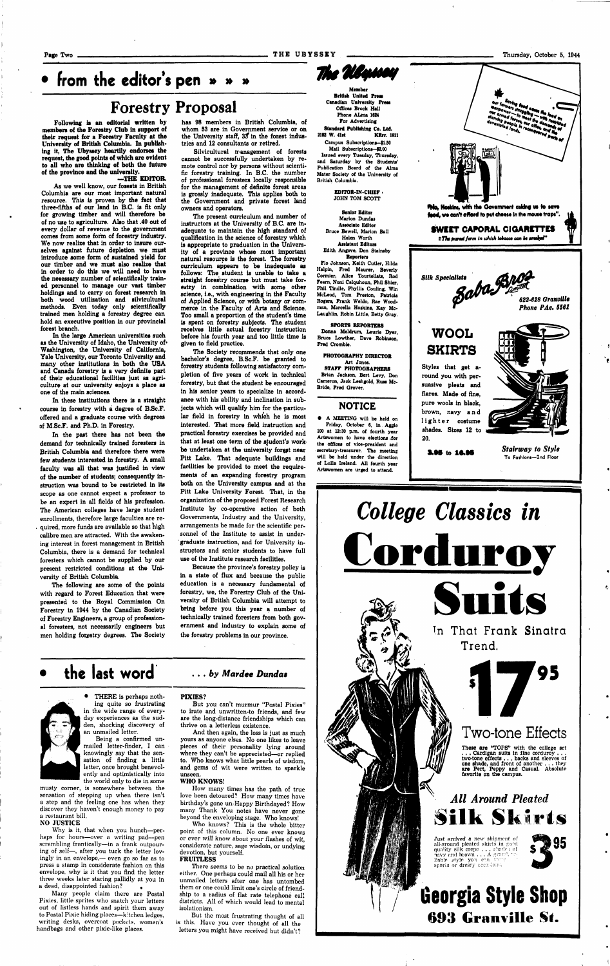Page Two T H E UBYSSE Y Thursday, October 5, 1944

### **• from the editor's pen » » »**

### **Forestry Proposal**

Following is an editorial written by members of the Forestry Club in support of their request for a Forestry Faculty at the University of British Columbia. In publishing it, The Ubyssey heartily endorses the request, the good points of which are evident to all who are thinking of both the future of the province and the university.

#### —THE EDITOR.

As we well know, our fosests in British Columbia are our most important natural resource. This is proven by the fact that three-fifths ef our land in B.C. is fit only for growing timber and will therefore be of no use to agriculture. Also that .40 out of every dollar of revenue to the government comes from some form of forestry industry. We now realize that in order to insure ourselves against future depletion we must introduce some form of sustained yield for our timber and we must also realize that in order to do this we will need to have the necessary number of scientifically trained personnel to manage our vast timber holdings and to carry on forest research in both wood utilization and silvicultural methods. Even today only scientifically trained men holding a forestry degree can hold an executive position in our provincial forest branch.

In the large American universities such as the University of Idaho, the University of. Washington, the University of California, Yale University, our Toronto University and many other institutions in both the USA and Canada forestry is a very definite part of their educational facilities just as agriculture at our university enjoys a place as one of the main sciences.

Silvicultural management of forests cannot be successfully undertaken by remote control nor by persons without scientific forestry training. In B.C. the number of professional foresters locally responsible for the management of definite forest areas is grossly inadequate. This applies both to the Government and private forest land owners and operators.

In these institutions there is a straight course in forestry with a degree of B.Sc.F. offered and a graduate course with degrees of M.Sc.F. and Ph.D. in Forestry.

In the past there has not been the demand for technically trained foresters in British Columbia and therefore there were few students interested in forestry. A small faculty was all that was justified in view of the number of students; consequently instruction was bound to be restricted in its scope as one cannot expect a professor to be an expert in all fields of his profession. The American colleges have large student enrollments, therefore large faculties are required, more funds are available so that high calibre men are attracted. With the awakening interest in forest management in British Columbia, there is a demand for technical foresters which cannot be supplied by our present restricted conditions at the University of British Columbia. The following are some of the points with regard to Forest Education that were presented to the Royal Commission On Forestry in 1944 by the Canadian Society of Forestry Engineers, a group of professional foresters, not necessarily engineers but men holding forestry degrees. The Society

has 98 members in British Columbia, of whom 53 are in Government service or on the University staff,  $35$  in the forest industries and 12 consultants or retired.

Why is it, that when you hunch—perhaps for hours—over a writing pad—pen scrambling frantically—in a frank outpouring of self—, after you tuck the letter lovingly in an envelope,— even go so far as to press a stamp in considerate fashion on this envelope, why is it that you find the letter three weeks later staring pallidly at you in a dead, disappointed fashion?

The present curriculum and number of instructors at the University of B.C. are inadequate to maintain the high standard of qualification in the science of forestry which is appropriate to praduation in the University of a province whose most important natural resource is the forest. The forestry curriculum appears to be inadequate as follows: The student is unable to take a straight forestry course but must take forestry in combination with some other science, i.e., with engineering in the Faculty of Applied Science, or with botany or commerce in the Faculty of Arts and Science. Too small a proportion of the student's time is spent on forestry subjects. The student receives little actual forestry instruction before his fourth year and too little time is given to field practice.

EDITOR-IN-CHIEF JOHN TOM SCOTT

The Society recommends that only one bachelor's degree, B.Sc.F. be granted to forestry students following satisfactory completion of five years of work in technical forestry, but that the student be encouraged in his senior years to specialize in accordance with his ability and inclination in subjects which will qualify him for the particular field in forestry in which he is most interested. That more field instruction and practical forestry exercises be provided and that at least one term of the student's work' be undertaken at the university forest near Pitt Lake. That adequate buildings and facilities be provided to meet the requirements of an expanding forestry program both on the University campus and at the Pitt Lake University Forest. That, in the organization of the proposed Forest Research

Institute by co-operative action of both Governments, Industry and the University, arrangements be made for the scientific personnel of the Institute to assist in undergraduate instruction, and for University instructors and senior students to have full use of the Institute research facilities.

Because the province's forestry policy is in a state of flux and because the public education is a necessary fundamental of forestry, we, the Forestry Club of the University of British Columbia will attempt to bring before you this year a number of technically trained foresters from both government and industry to explain some of the forestry problems in our province.

### **the last word . . .** *by Mardee Dundas*

• THERE is perhaps nothing quite so frustrating in the wide range of everyday experiences as the sudden, shocking discovery of an unmailed letter.

Being a confirmed unmailed letter-finder, I can knowingly say that the sensation of finding a little letter, once brought benevolently and optimistically into the world only to die in some

musty corner, is somewhere between the sensation of stepping up when there isn't a step and the feeling one has when they discover they haven't enough money to pay a restaurant bill.

#### NO JUSTICE

Many people claim there are Postal Pixies, little sprites who snatch your letters out of listless hands and spirit them away to Postal Pixie hiding places—kitchen ledges, writing desks, overcoat pockets, women's handbags and other pixie-like places.

#### PIXIES?

But you can't murmur "Postal Pixies" to irate and unwritten-to friends, and few are the long-distance friendships which can thrive on a letterless existence.

And then again, the loss is just as much yours as anyone elses. No one likes to leave pieces of their personality lying around where they can't be appreciated—or replied to. Who knows what little pearls of wisdom, and gems of wit were written to sparkle unseen.

#### WHO KNOWS!

How many times has the path of true love been detoured? How many times have birthday's gone un-Happy Birthdayed? How many Thank You notes have never gone beyond the enveloping stage. Who knows!

Who knows? This is the whole bitter point of this column. No one ever knows or ever will know about your flashes of wit, considerate nature, sage wisdom, or undying devotion, but yourself. FRUITLESS

There *seems* to be *no* practical solution either. One perhaps could mail all his or her unmailed letters after one has untombed them or one could limit one's circle of friendship to a radius of flat rate telephone call districts. All of which would lead to mental isolationism.

But the most frustrating thought of all is this. Have you ever thought of all the letters you might have received but didn't?



For Advertising Standard Publishing Co. Ltd.<br>2182 W. 41st KErr. 1 **KErr. 1811** Campus Subscriptions— \$1.50 Mail Subscriptions-\$2.00 Issued every Tuesday, Thursday, and Saturday by the Students' Publication Board of the Alma Mater Society of the University of British Columbia.

Senior Editor Marion Dundas Associate Editor Bruce Bewell, Marion Ball Helen Worth Assistant Editors Edith Angove, Don Stainsby Reporters

Flo Johnson, Keith Cutler, Hilda Halpln, Fred Maurer, Beverly Cormier, Alice Tourtellats, Rod Fearn, Noni Calquhoun, Phil Shier, Phil Tindle, Phyllis Couling, Win McLeod, Tom Preston, Patricia Rogers, Frank Weldo, Rae Woodman, Marcella Hoskins, Kay Mc-Laughlin, Robin Little, Betty Gray.

SPORTS REPORTERS Donna Meldrum, Laurie Dyer, Bruce Lowther, Dave Robinson, Fred Cromble.

PHOTOGRAPHY DIRECTOR Art Jones. STAFF PHOTOGRAPHERS Brian Jackson, Bert Levy, Don Cameron, Jack Leshgold, Ruas Mc-

Bride, Fred Grover.

#### **NOTICE**

• A MEETING will be held on Friday, October 6, in Aggie 100 at 12:30 p.m. of fourth year Artswomen to have elections .for the offices of vice-president and secretary-treasurer. The meeting will be held under the direction of Lulla Ireland. All fourth year Artswomen are urged to attend.